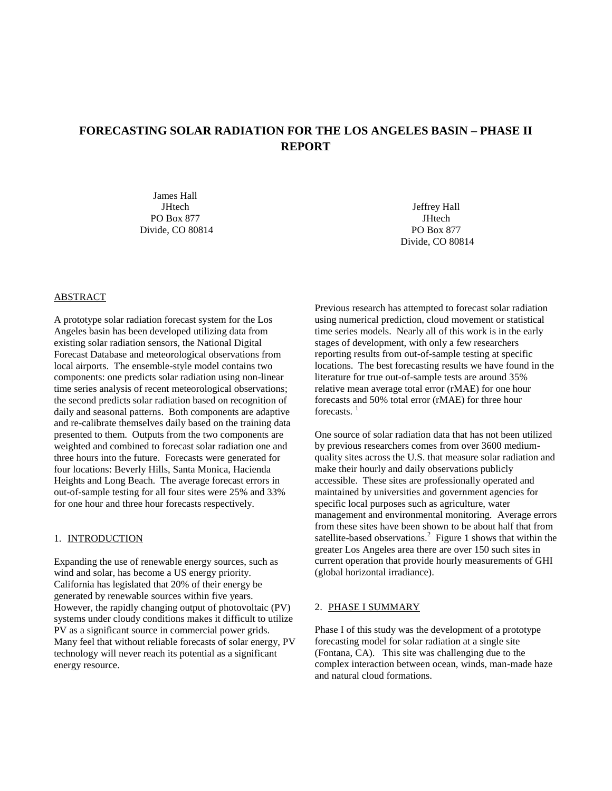# **FORECASTING SOLAR RADIATION FOR THE LOS ANGELES BASIN – PHASE II REPORT**

James Hall **JHtech** PO Box 877 Divide, CO 80814

Jeffrey Hall **JHtech** PO Box 877 Divide, CO 80814

## ABSTRACT

A prototype solar radiation forecast system for the Los Angeles basin has been developed utilizing data from existing solar radiation sensors, the National Digital Forecast Database and meteorological observations from local airports. The ensemble-style model contains two components: one predicts solar radiation using non-linear time series analysis of recent meteorological observations; the second predicts solar radiation based on recognition of daily and seasonal patterns. Both components are adaptive and re-calibrate themselves daily based on the training data presented to them. Outputs from the two components are weighted and combined to forecast solar radiation one and three hours into the future. Forecasts were generated for four locations: Beverly Hills, Santa Monica, Hacienda Heights and Long Beach. The average forecast errors in out-of-sample testing for all four sites were 25% and 33% for one hour and three hour forecasts respectively.

## 1. INTRODUCTION

Expanding the use of renewable energy sources, such as wind and solar, has become a US energy priority. California has legislated that 20% of their energy be generated by renewable sources within five years. However, the rapidly changing output of photovoltaic (PV) systems under cloudy conditions makes it difficult to utilize PV as a significant source in commercial power grids. Many feel that without reliable forecasts of solar energy, PV technology will never reach its potential as a significant energy resource.

Previous research has attempted to forecast solar radiation using numerical prediction, cloud movement or statistical time series models. Nearly all of this work is in the early stages of development, with only a few researchers reporting results from out-of-sample testing at specific locations. The best forecasting results we have found in the literature for true out-of-sample tests are around 35% relative mean average total error (rMAE) for one hour forecasts and 50% total error (rMAE) for three hour forecasts.<sup>1</sup>

One source of solar radiation data that has not been utilized by previous researchers comes from over 3600 mediumquality sites across the U.S. that measure solar radiation and make their hourly and daily observations publicly accessible. These sites are professionally operated and maintained by universities and government agencies for specific local purposes such as agriculture, water management and environmental monitoring. Average errors from these sites have been shown to be about half that from satellite-based observations. $2$  Figure 1 shows that within the greater Los Angeles area there are over 150 such sites in current operation that provide hourly measurements of GHI (global horizontal irradiance).

#### 2. PHASE I SUMMARY

Phase I of this study was the development of a prototype forecasting model for solar radiation at a single site (Fontana, CA). This site was challenging due to the complex interaction between ocean, winds, man-made haze and natural cloud formations.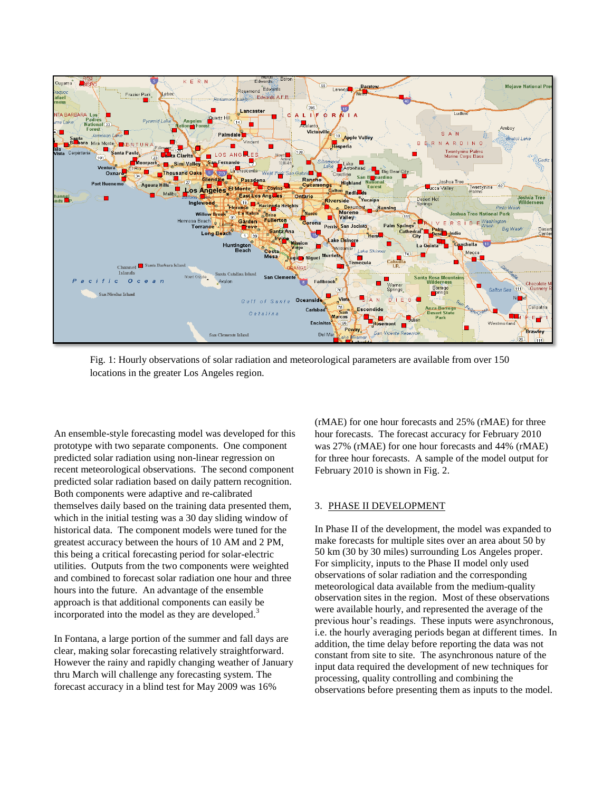

Fig. 1: Hourly observations of solar radiation and meteorological parameters are available from over 150 locations in the greater Los Angeles region.

An ensemble-style forecasting model was developed for this prototype with two separate components. One component predicted solar radiation using non-linear regression on recent meteorological observations. The second component predicted solar radiation based on daily pattern recognition. Both components were adaptive and re-calibrated themselves daily based on the training data presented them, which in the initial testing was a 30 day sliding window of historical data. The component models were tuned for the greatest accuracy between the hours of 10 AM and 2 PM, this being a critical forecasting period for solar-electric utilities. Outputs from the two components were weighted and combined to forecast solar radiation one hour and three hours into the future. An advantage of the ensemble approach is that additional components can easily be incorporated into the model as they are developed.<sup>3</sup>

In Fontana, a large portion of the summer and fall days are clear, making solar forecasting relatively straightforward. However the rainy and rapidly changing weather of January thru March will challenge any forecasting system. The forecast accuracy in a blind test for May 2009 was 16%

(rMAE) for one hour forecasts and 25% (rMAE) for three hour forecasts. The forecast accuracy for February 2010 was 27% (rMAE) for one hour forecasts and 44% (rMAE) for three hour forecasts. A sample of the model output for February 2010 is shown in Fig. 2.

#### 3. PHASE II DEVELOPMENT

In Phase II of the development, the model was expanded to make forecasts for multiple sites over an area about 50 by 50 km (30 by 30 miles) surrounding Los Angeles proper. For simplicity, inputs to the Phase II model only used observations of solar radiation and the corresponding meteorological data available from the medium-quality observation sites in the region. Most of these observations were available hourly, and represented the average of the previous hour's readings. These inputs were asynchronous, i.e. the hourly averaging periods began at different times. In addition, the time delay before reporting the data was not constant from site to site. The asynchronous nature of the input data required the development of new techniques for processing, quality controlling and combining the observations before presenting them as inputs to the model.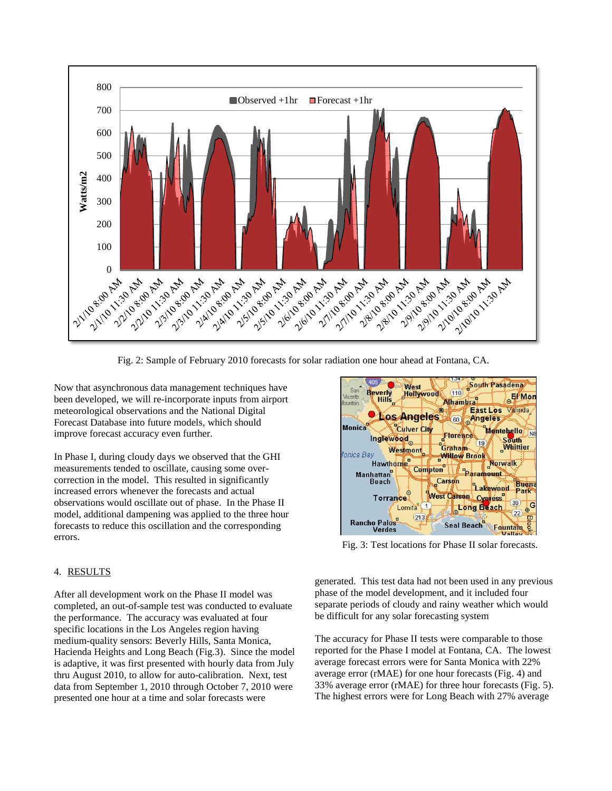

Fig. 2: Sample of February 2010 forecasts for solar radiation one hour ahead at Fontana, CA.

Now that asynchronous data management techniques have been developed, we will re-incorporate inputs from airport meteorological observations and the National Digital Forecast Database into future models, which should improve forecast accuracy even further.

In Phase I, during cloudy days we observed that the GHI measurements tended to oscillate, causing some overcorrection in the model. This resulted in significantly increased errors whenever the forecasts and actual observations would oscillate out of phase. In the Phase II model, additional dampening was applied to the three hour forecasts to reduce this oscillation and the corresponding errors.

#### 4. RESULTS

After all development work on the Phase II model was completed, an out-of-sample test was conducted to evaluate the performance. The accuracy was evaluated at four specific locations in the Los Angeles region having medium-quality sensors: Beverly Hills, Santa Monica, Hacienda Heights and Long Beach (Fig.3). Since the model is adaptive, it was first presented with hourly data from July thru August 2010, to allow for auto-calibration. Next, test data from September 1, 2010 through October 7, 2010 were presented one hour at a time and solar forecasts were



Fig. 3: Test locations for Phase II solar forecasts.

generated. This test data had not been used in any previous phase of the model development, and it included four separate periods of cloudy and rainy weather which would be difficult for any solar forecasting system

The accuracy for Phase II tests were comparable to those reported for the Phase I model at Fontana, CA. The lowest average forecast errors were for Santa Monica with 22% average error (rMAE) for one hour forecasts (Fig. 4) and 33% average error (rMAE) for three hour forecasts (Fig. 5). The highest errors were for Long Beach with 27% average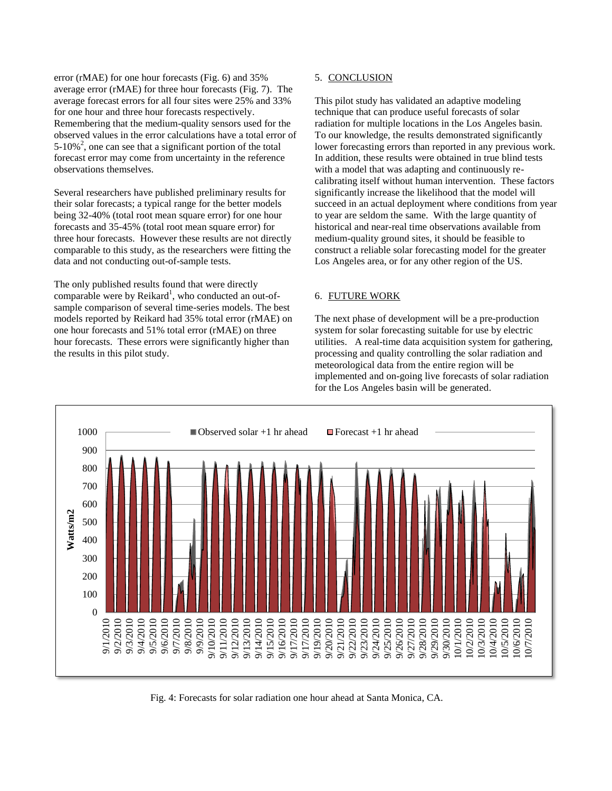error (rMAE) for one hour forecasts (Fig. 6) and 35% average error (rMAE) for three hour forecasts (Fig. 7). The average forecast errors for all four sites were 25% and 33% for one hour and three hour forecasts respectively. Remembering that the medium-quality sensors used for the observed values in the error calculations have a total error of  $5-10\%^2$ , one can see that a significant portion of the total forecast error may come from uncertainty in the reference observations themselves.

Several researchers have published preliminary results for their solar forecasts; a typical range for the better models being 32-40% (total root mean square error) for one hour forecasts and 35-45% (total root mean square error) for three hour forecasts. However these results are not directly comparable to this study, as the researchers were fitting the data and not conducting out-of-sample tests.

The only published results found that were directly comparable were by Reikard<sup>1</sup>, who conducted an out-ofsample comparison of several time-series models. The best models reported by Reikard had 35% total error (rMAE) on one hour forecasts and 51% total error (rMAE) on three hour forecasts. These errors were significantly higher than the results in this pilot study.

## 5. CONCLUSION

This pilot study has validated an adaptive modeling technique that can produce useful forecasts of solar radiation for multiple locations in the Los Angeles basin. To our knowledge, the results demonstrated significantly lower forecasting errors than reported in any previous work. In addition, these results were obtained in true blind tests with a model that was adapting and continuously recalibrating itself without human intervention. These factors significantly increase the likelihood that the model will succeed in an actual deployment where conditions from year to year are seldom the same. With the large quantity of historical and near-real time observations available from medium-quality ground sites, it should be feasible to construct a reliable solar forecasting model for the greater Los Angeles area, or for any other region of the US.

# 6. FUTURE WORK

The next phase of development will be a pre-production system for solar forecasting suitable for use by electric utilities. A real-time data acquisition system for gathering, processing and quality controlling the solar radiation and meteorological data from the entire region will be implemented and on-going live forecasts of solar radiation for the Los Angeles basin will be generated.



Fig. 4: Forecasts for solar radiation one hour ahead at Santa Monica, CA.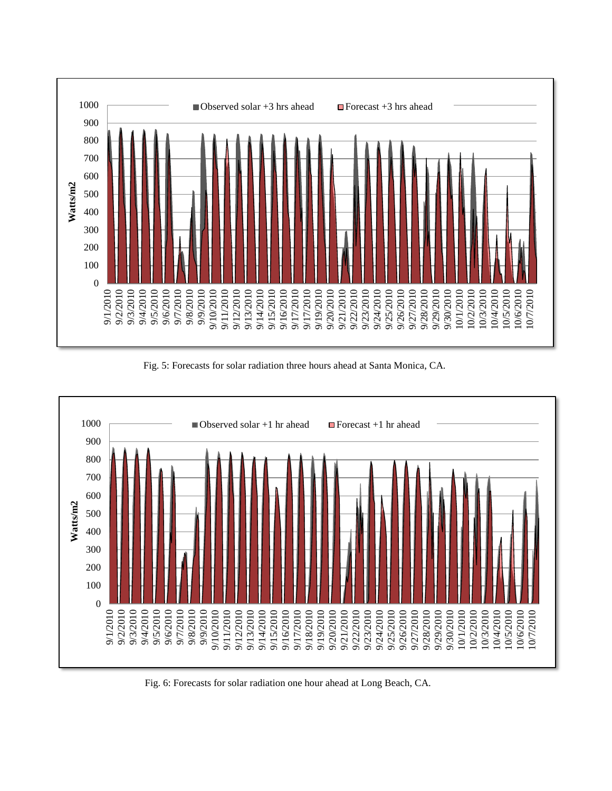

Fig. 5: Forecasts for solar radiation three hours ahead at Santa Monica, CA.



Fig. 6: Forecasts for solar radiation one hour ahead at Long Beach, CA.